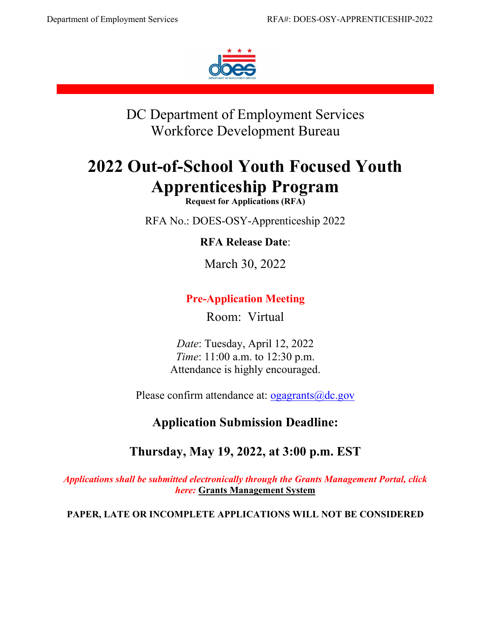

DC Department of Employment Services Workforce Development Bureau

# **2022 Out-of-School Youth Focused Youth Apprenticeship Program**

**Request for Applications (RFA)**

RFA No.: DOES-OSY-Apprenticeship 2022

**RFA Release Date**:

March 30, 2022

# **Pre-Application Meeting**

Room: Virtual

*Date*: Tuesday, April 12, 2022 *Time*: 11:00 a.m. to 12:30 p.m. Attendance is highly encouraged.

Please confirm attendance at: <u>ogagrants@dc.gov</u>

# **Application Submission Deadline:**

# **Thursday, May 19, 2022, at 3:00 p.m. EST**

*Applications shall be submitted electronically through the Grants Management Portal, click here:* **[Grants Management System](https://jlweb.co/prod1/portal/portal.jsp?c=66176630&p=66183389&g=66183409)**

**PAPER, LATE OR INCOMPLETE APPLICATIONS WILL NOT BE CONSIDERED**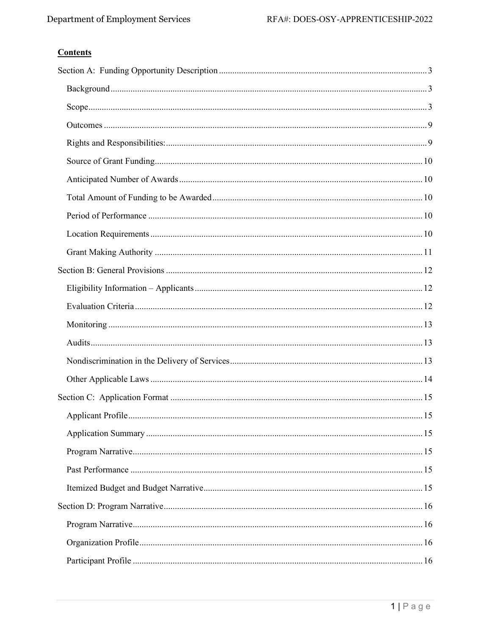# **Contents**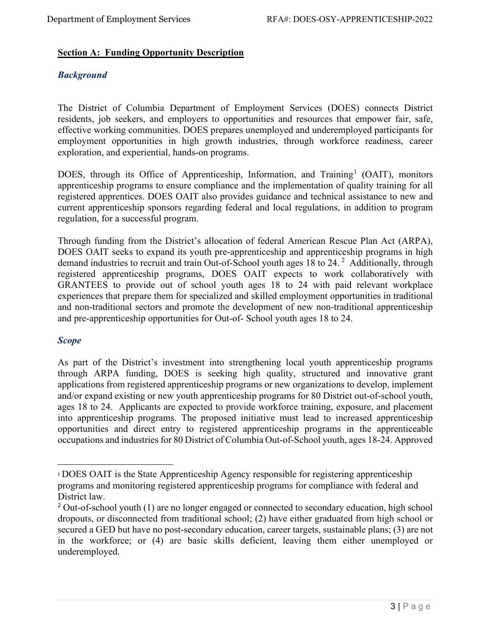# <span id="page-3-0"></span>**Section A: Funding Opportunity Description**

# <span id="page-3-1"></span>*Background*

The District of Columbia Department of Employment Services (DOES) connects District residents, job seekers, and employers to opportunities and resources that empower fair, safe, effective working communities. DOES prepares unemployed and underemployed participants for employment opportunities in high growth industries, through workforce readiness, career exploration, and experiential, hands-on programs.

DOES, through its Office of Apprenticeship, Information, and Training<sup>[1](#page-3-3)</sup> (OAIT), monitors apprenticeship programs to ensure compliance and the implementation of quality training for all registered apprentices. DOES OAIT also provides guidance and technical assistance to new and current apprenticeship sponsors regarding federal and local regulations, in addition to program regulation, for a successful program.

Through funding from the District's allocation of federal American Rescue Plan Act (ARPA), DOES OAIT seeks to expand its youth pre-apprenticeship and apprenticeship programs in high demand industries to recruit and train Out-of-School youth ages 18 to [2](#page-3-4)4.<sup>2</sup> Additionally, through registered apprenticeship programs, DOES OAIT expects to work collaboratively with GRANTEES to provide out of school youth ages 18 to 24 with paid relevant workplace experiences that prepare them for specialized and skilled employment opportunities in traditional and non-traditional sectors and promote the development of new non-traditional apprenticeship and pre-apprenticeship opportunities for Out-of- School youth ages 18 to 24.

# <span id="page-3-2"></span>*Scope*

As part of the District's investment into strengthening local youth apprenticeship programs through ARPA funding, DOES is seeking high quality, structured and innovative grant applications from registered apprenticeship programs or new organizations to develop, implement and/or expand existing or new youth apprenticeship programs for 80 District out-of-school youth, ages 18 to 24. Applicants are expected to provide workforce training, exposure, and placement into apprenticeship programs. The proposed initiative must lead to increased apprenticeship opportunities and direct entry to registered apprenticeship programs in the apprenticeable occupations and industries for 80 District of Columbia Out-of-School youth, ages 18-24. Approved

<span id="page-3-3"></span><sup>1</sup> DOES OAIT is the State Apprenticeship Agency responsible for registering apprenticeship programs and monitoring registered apprenticeship programs for compliance with federal and District law.

<span id="page-3-4"></span><sup>&</sup>lt;sup>2</sup> Out-of-school youth (1) are no longer engaged or connected to secondary education, high school dropouts, or disconnected from traditional school; (2) have either graduated from high school or secured a GED but have no post-secondary education, career targets, sustainable plans; (3) are not in the workforce; or (4) are basic skills deficient, leaving them either unemployed or underemployed.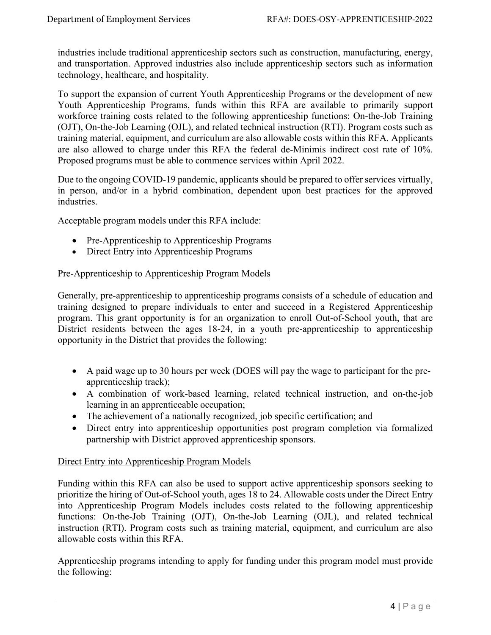industries include traditional apprenticeship sectors such as construction, manufacturing, energy, and transportation. Approved industries also include apprenticeship sectors such as information technology, healthcare, and hospitality.

To support the expansion of current Youth Apprenticeship Programs or the development of new Youth Apprenticeship Programs, funds within this RFA are available to primarily support workforce training costs related to the following apprenticeship functions: On-the-Job Training (OJT), On-the-Job Learning (OJL), and related technical instruction (RTI). Program costs such as training material, equipment, and curriculum are also allowable costs within this RFA. Applicants are also allowed to charge under this RFA the federal de-Minimis indirect cost rate of 10%. Proposed programs must be able to commence services within April 2022.

Due to the ongoing COVID-19 pandemic, applicants should be prepared to offer services virtually, in person, and/or in a hybrid combination, dependent upon best practices for the approved industries.

Acceptable program models under this RFA include:

- Pre-Apprenticeship to Apprenticeship Programs
- Direct Entry into Apprenticeship Programs

# Pre-Apprenticeship to Apprenticeship Program Models

Generally, pre-apprenticeship to apprenticeship programs consists of a schedule of education and training designed to prepare individuals to enter and succeed in a Registered Apprenticeship program. This grant opportunity is for an organization to enroll Out-of-School youth, that are District residents between the ages 18-24, in a youth pre-apprenticeship to apprenticeship opportunity in the District that provides the following:

- A paid wage up to 30 hours per week (DOES will pay the wage to participant for the preapprenticeship track);
- A combination of work-based learning, related technical instruction, and on-the-job learning in an apprenticeable occupation;
- The achievement of a nationally recognized, job specific certification; and
- Direct entry into apprenticeship opportunities post program completion via formalized partnership with District approved apprenticeship sponsors.

#### Direct Entry into Apprenticeship Program Models

Funding within this RFA can also be used to support active apprenticeship sponsors seeking to prioritize the hiring of Out-of-School youth, ages 18 to 24. Allowable costs under the Direct Entry into Apprenticeship Program Models includes costs related to the following apprenticeship functions: On-the-Job Training (OJT), On-the-Job Learning (OJL), and related technical instruction (RTI). Program costs such as training material, equipment, and curriculum are also allowable costs within this RFA.

Apprenticeship programs intending to apply for funding under this program model must provide the following: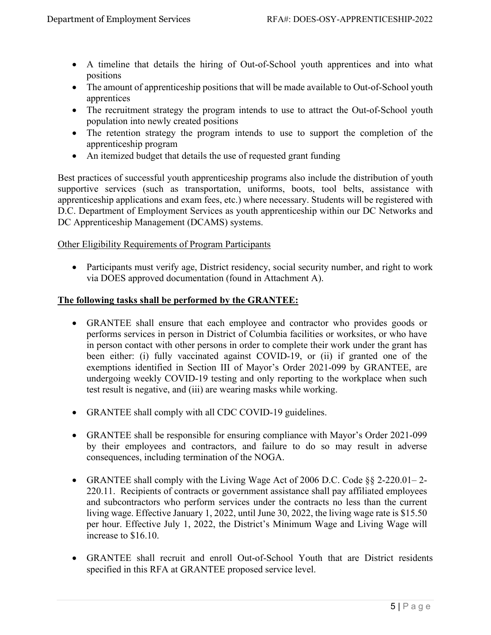- A timeline that details the hiring of Out-of-School youth apprentices and into what positions
- The amount of apprenticeship positions that will be made available to Out-of-School youth apprentices
- The recruitment strategy the program intends to use to attract the Out-of-School youth population into newly created positions
- The retention strategy the program intends to use to support the completion of the apprenticeship program
- An itemized budget that details the use of requested grant funding

Best practices of successful youth apprenticeship programs also include the distribution of youth supportive services (such as transportation, uniforms, boots, tool belts, assistance with apprenticeship applications and exam fees, etc.) where necessary. Students will be registered with D.C. Department of Employment Services as youth apprenticeship within our DC Networks and DC Apprenticeship Management (DCAMS) systems.

# Other Eligibility Requirements of Program Participants

• Participants must verify age, District residency, social security number, and right to work via DOES approved documentation (found in Attachment A).

# **The following tasks shall be performed by the GRANTEE:**

- GRANTEE shall ensure that each employee and contractor who provides goods or performs services in person in District of Columbia facilities or worksites, or who have in person contact with other persons in order to complete their work under the grant has been either: (i) fully vaccinated against COVID-19, or (ii) if granted one of the exemptions identified in Section III of Mayor's Order 2021-099 by GRANTEE, are undergoing weekly COVID-19 testing and only reporting to the workplace when such test result is negative, and (iii) are wearing masks while working.
- GRANTEE shall comply with all CDC COVID-19 guidelines.
- GRANTEE shall be responsible for ensuring compliance with Mayor's Order 2021-099 by their employees and contractors, and failure to do so may result in adverse consequences, including termination of the NOGA.
- GRANTEE shall comply with the Living Wage Act of 2006 D.C. Code §§ 2-220.01–2-220.11. Recipients of contracts or government assistance shall pay affiliated employees and subcontractors who perform services under the contracts no less than the current living wage. Effective January 1, 2022, until June 30, 2022, the living wage rate is \$15.50 per hour. Effective July 1, 2022, the District's Minimum Wage and Living Wage will increase to \$16.10.
- GRANTEE shall recruit and enroll Out-of-School Youth that are District residents specified in this RFA at GRANTEE proposed service level.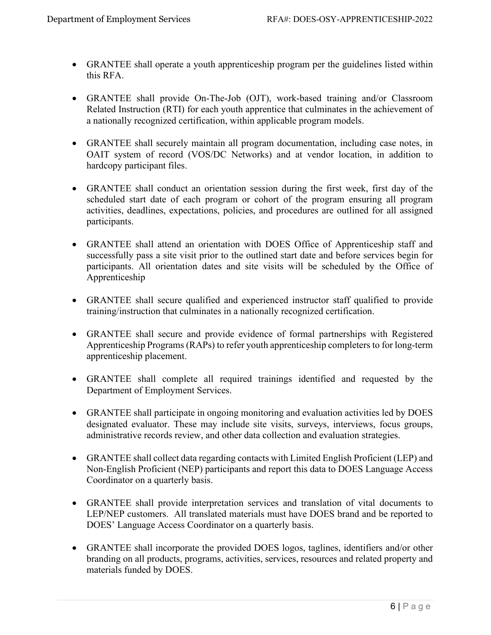- GRANTEE shall operate a youth apprenticeship program per the guidelines listed within this RFA.
- GRANTEE shall provide On-The-Job (OJT), work-based training and/or Classroom Related Instruction (RTI) for each youth apprentice that culminates in the achievement of a nationally recognized certification, within applicable program models.
- GRANTEE shall securely maintain all program documentation, including case notes, in OAIT system of record (VOS/DC Networks) and at vendor location, in addition to hardcopy participant files.
- GRANTEE shall conduct an orientation session during the first week, first day of the scheduled start date of each program or cohort of the program ensuring all program activities, deadlines, expectations, policies, and procedures are outlined for all assigned participants.
- GRANTEE shall attend an orientation with DOES Office of Apprenticeship staff and successfully pass a site visit prior to the outlined start date and before services begin for participants. All orientation dates and site visits will be scheduled by the Office of Apprenticeship
- GRANTEE shall secure qualified and experienced instructor staff qualified to provide training/instruction that culminates in a nationally recognized certification.
- GRANTEE shall secure and provide evidence of formal partnerships with Registered Apprenticeship Programs (RAPs) to refer youth apprenticeship completers to for long-term apprenticeship placement.
- GRANTEE shall complete all required trainings identified and requested by the Department of Employment Services.
- GRANTEE shall participate in ongoing monitoring and evaluation activities led by DOES designated evaluator. These may include site visits, surveys, interviews, focus groups, administrative records review, and other data collection and evaluation strategies.
- GRANTEE shall collect data regarding contacts with Limited English Proficient (LEP) and Non-English Proficient (NEP) participants and report this data to DOES Language Access Coordinator on a quarterly basis.
- GRANTEE shall provide interpretation services and translation of vital documents to LEP/NEP customers. All translated materials must have DOES brand and be reported to DOES' Language Access Coordinator on a quarterly basis.
- GRANTEE shall incorporate the provided DOES logos, taglines, identifiers and/or other branding on all products, programs, activities, services, resources and related property and materials funded by DOES.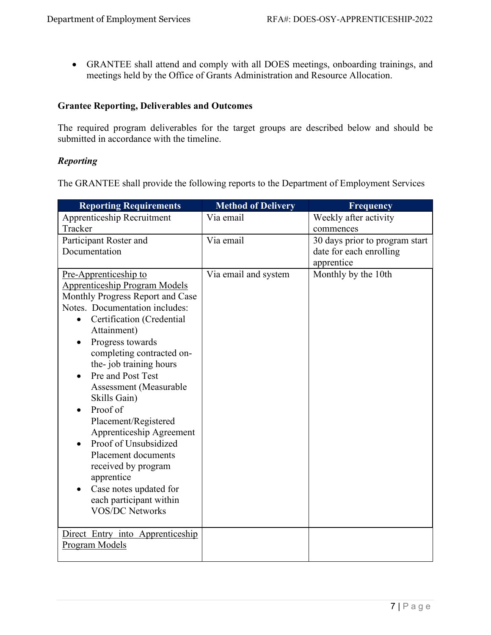• GRANTEE shall attend and comply with all DOES meetings, onboarding trainings, and meetings held by the Office of Grants Administration and Resource Allocation.

# **Grantee Reporting, Deliverables and Outcomes**

The required program deliverables for the target groups are described below and should be submitted in accordance with the timeline.

# *Reporting*

The GRANTEE shall provide the following reports to the Department of Employment Services

| <b>Reporting Requirements</b>                      | <b>Method of Delivery</b> | Frequency                      |
|----------------------------------------------------|---------------------------|--------------------------------|
| <b>Apprenticeship Recruitment</b>                  | Via email                 | Weekly after activity          |
| Tracker                                            |                           | commences                      |
| Participant Roster and                             | Via email                 | 30 days prior to program start |
| Documentation                                      |                           | date for each enrolling        |
|                                                    |                           | apprentice                     |
| Pre-Apprenticeship to                              | Via email and system      | Monthly by the 10th            |
| <b>Apprenticeship Program Models</b>               |                           |                                |
| Monthly Progress Report and Case                   |                           |                                |
| Notes. Documentation includes:                     |                           |                                |
| Certification (Credential                          |                           |                                |
| Attainment)                                        |                           |                                |
| Progress towards<br>$\bullet$                      |                           |                                |
| completing contracted on-                          |                           |                                |
| the-job training hours                             |                           |                                |
| Pre and Post Test                                  |                           |                                |
| Assessment (Measurable                             |                           |                                |
| Skills Gain)                                       |                           |                                |
| Proof of                                           |                           |                                |
| Placement/Registered                               |                           |                                |
| Apprenticeship Agreement                           |                           |                                |
| Proof of Unsubsidized                              |                           |                                |
| Placement documents                                |                           |                                |
| received by program                                |                           |                                |
| apprentice                                         |                           |                                |
| Case notes updated for                             |                           |                                |
| each participant within                            |                           |                                |
| <b>VOS/DC Networks</b>                             |                           |                                |
|                                                    |                           |                                |
| Direct Entry into Apprenticeship<br>Program Models |                           |                                |
|                                                    |                           |                                |
|                                                    |                           |                                |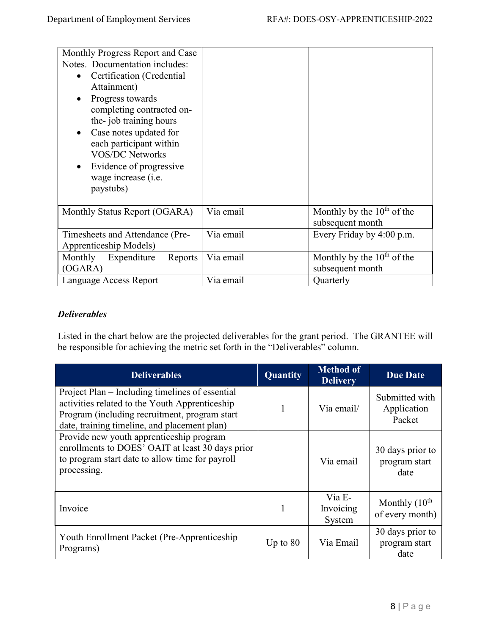| Monthly Progress Report and Case  |           |                                 |
|-----------------------------------|-----------|---------------------------------|
| Notes. Documentation includes:    |           |                                 |
| Certification (Credential         |           |                                 |
| Attainment)                       |           |                                 |
| Progress towards                  |           |                                 |
| completing contracted on-         |           |                                 |
| the-job training hours            |           |                                 |
| Case notes updated for            |           |                                 |
| each participant within           |           |                                 |
| <b>VOS/DC Networks</b>            |           |                                 |
| Evidence of progressive           |           |                                 |
| wage increase (i.e.               |           |                                 |
| paystubs)                         |           |                                 |
|                                   |           |                                 |
| Monthly Status Report (OGARA)     | Via email | Monthly by the $10th$ of the    |
|                                   |           | subsequent month                |
| Timesheets and Attendance (Pre-   | Via email | Every Friday by 4:00 p.m.       |
| Apprenticeship Models)            |           |                                 |
| Expenditure<br>Monthly<br>Reports | Via email | Monthly by the $10^{th}$ of the |
| (OGARA)                           |           | subsequent month                |
| Language Access Report            | Via email | Quarterly                       |

# *Deliverables*

Listed in the chart below are the projected deliverables for the grant period. The GRANTEE will be responsible for achieving the metric set forth in the "Deliverables" column.

| <b>Deliverables</b>                                                                                                                                                                                | Quantity   | <b>Method of</b><br><b>Delivery</b> | <b>Due Date</b>                           |
|----------------------------------------------------------------------------------------------------------------------------------------------------------------------------------------------------|------------|-------------------------------------|-------------------------------------------|
| Project Plan – Including timelines of essential<br>activities related to the Youth Apprenticeship<br>Program (including recruitment, program start<br>date, training timeline, and placement plan) |            | Via email/                          | Submitted with<br>Application<br>Packet   |
| Provide new youth apprenticeship program<br>enrollments to DOES' OAIT at least 30 days prior<br>to program start date to allow time for payroll<br>processing.                                     |            | Via email                           | 30 days prior to<br>program start<br>date |
| Invoice                                                                                                                                                                                            |            | Via E-<br>Invoicing<br>System       | Monthly $(10th$<br>of every month)        |
| Youth Enrollment Packet (Pre-Apprenticeship)<br>Programs)                                                                                                                                          | Up to $80$ | Via Email                           | 30 days prior to<br>program start<br>date |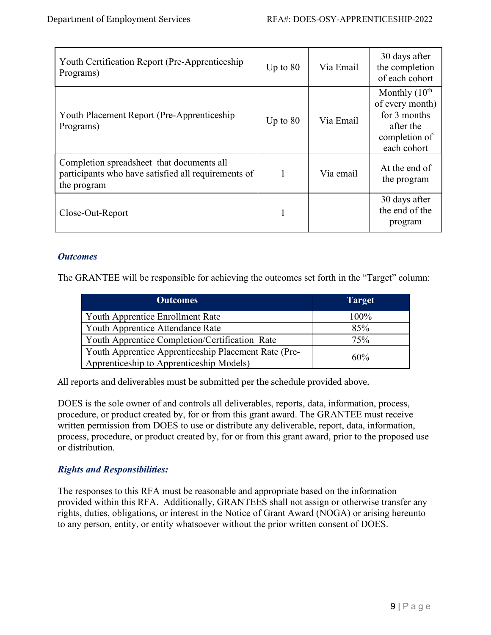| Youth Certification Report (Pre-Apprenticeship)<br>Programs)                                                    | Up to $80$ | Via Email | 30 days after<br>the completion<br>of each cohort                                               |
|-----------------------------------------------------------------------------------------------------------------|------------|-----------|-------------------------------------------------------------------------------------------------|
| Youth Placement Report (Pre-Apprenticeship)<br>Programs)                                                        | Up to $80$ | Via Email | Monthly $(10th$<br>of every month)<br>for 3 months<br>after the<br>completion of<br>each cohort |
| Completion spreadsheet that documents all<br>participants who have satisfied all requirements of<br>the program | 1          | Via email | At the end of<br>the program                                                                    |
| Close-Out-Report                                                                                                |            |           | 30 days after<br>the end of the<br>program                                                      |

# <span id="page-9-0"></span>*Outcomes*

The GRANTEE will be responsible for achieving the outcomes set forth in the "Target" column:

| <b>Outcomes</b>                                      | <b>Target</b> |
|------------------------------------------------------|---------------|
| Youth Apprentice Enrollment Rate                     | 100%          |
| Youth Apprentice Attendance Rate                     | 85%           |
| Youth Apprentice Completion/Certification Rate       | 75%           |
| Youth Apprentice Apprenticeship Placement Rate (Pre- | 60%           |
| Apprenticeship to Apprenticeship Models)             |               |

All reports and deliverables must be submitted per the schedule provided above.

DOES is the sole owner of and controls all deliverables, reports, data, information, process, procedure, or product created by, for or from this grant award. The GRANTEE must receive written permission from DOES to use or distribute any deliverable, report, data, information, process, procedure, or product created by, for or from this grant award, prior to the proposed use or distribution.

# <span id="page-9-1"></span>*Rights and Responsibilities:*

The responses to this RFA must be reasonable and appropriate based on the information provided within this RFA. Additionally, GRANTEES shall not assign or otherwise transfer any rights, duties, obligations, or interest in the Notice of Grant Award (NOGA) or arising hereunto to any person, entity, or entity whatsoever without the prior written consent of DOES.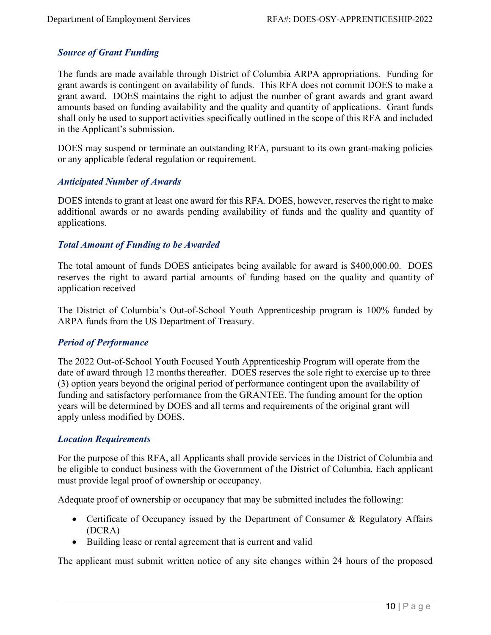# <span id="page-10-0"></span>*Source of Grant Funding*

The funds are made available through District of Columbia ARPA appropriations. Funding for grant awards is contingent on availability of funds. This RFA does not commit DOES to make a grant award. DOES maintains the right to adjust the number of grant awards and grant award amounts based on funding availability and the quality and quantity of applications. Grant funds shall only be used to support activities specifically outlined in the scope of this RFA and included in the Applicant's submission.

DOES may suspend or terminate an outstanding RFA, pursuant to its own grant-making policies or any applicable federal regulation or requirement.

#### <span id="page-10-1"></span>*Anticipated Number of Awards*

DOES intends to grant at least one award for this RFA. DOES, however, reserves the right to make additional awards or no awards pending availability of funds and the quality and quantity of applications.

#### <span id="page-10-2"></span>*Total Amount of Funding to be Awarded*

The total amount of funds DOES anticipates being available for award is \$400,000.00. DOES reserves the right to award partial amounts of funding based on the quality and quantity of application received

The District of Columbia's Out-of-School Youth Apprenticeship program is 100% funded by ARPA funds from the US Department of Treasury.

#### <span id="page-10-3"></span>*Period of Performance*

The 2022 Out-of-School Youth Focused Youth Apprenticeship Program will operate from the date of award through 12 months thereafter. DOES reserves the sole right to exercise up to three (3) option years beyond the original period of performance contingent upon the availability of funding and satisfactory performance from the GRANTEE. The funding amount for the option years will be determined by DOES and all terms and requirements of the original grant will apply unless modified by DOES.

#### <span id="page-10-4"></span>*Location Requirements*

For the purpose of this RFA, all Applicants shall provide services in the District of Columbia and be eligible to conduct business with the Government of the District of Columbia. Each applicant must provide legal proof of ownership or occupancy.

Adequate proof of ownership or occupancy that may be submitted includes the following:

- Certificate of Occupancy issued by the Department of Consumer & Regulatory Affairs (DCRA)
- Building lease or rental agreement that is current and valid

The applicant must submit written notice of any site changes within 24 hours of the proposed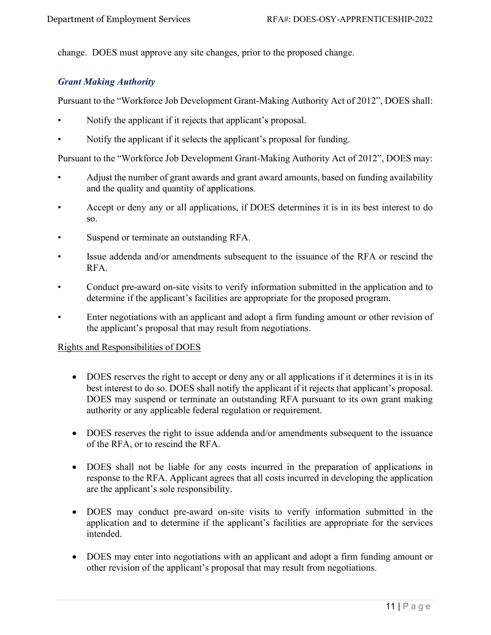change. DOES must approve any site changes, prior to the proposed change.

# <span id="page-11-0"></span>*Grant Making Authority*

Pursuant to the "Workforce Job Development Grant-Making Authority Act of 2012", DOES shall:

- Notify the applicant if it rejects that applicant's proposal.
- Notify the applicant if it selects the applicant's proposal for funding.

Pursuant to the "Workforce Job Development Grant-Making Authority Act of 2012", DOES may:

- Adjust the number of grant awards and grant award amounts, based on funding availability and the quality and quantity of applications.
- Accept or deny any or all applications, if DOES determines it is in its best interest to do so.
- Suspend or terminate an outstanding RFA.
- Issue addenda and/or amendments subsequent to the issuance of the RFA or rescind the RFA.
- Conduct pre-award on-site visits to verify information submitted in the application and to determine if the applicant's facilities are appropriate for the proposed program.
- Enter negotiations with an applicant and adopt a firm funding amount or other revision of the applicant's proposal that may result from negotiations.

#### Rights and Responsibilities of DOES

- DOES reserves the right to accept or deny any or all applications if it determines it is in its best interest to do so. DOES shall notify the applicant if it rejects that applicant's proposal. DOES may suspend or terminate an outstanding RFA pursuant to its own grant making authority or any applicable federal regulation or requirement.
- DOES reserves the right to issue addenda and/or amendments subsequent to the issuance of the RFA, or to rescind the RFA.
- DOES shall not be liable for any costs incurred in the preparation of applications in response to the RFA. Applicant agrees that all costs incurred in developing the application are the applicant's sole responsibility.
- DOES may conduct pre-award on-site visits to verify information submitted in the application and to determine if the applicant's facilities are appropriate for the services intended.
- DOES may enter into negotiations with an applicant and adopt a firm funding amount or other revision of the applicant's proposal that may result from negotiations.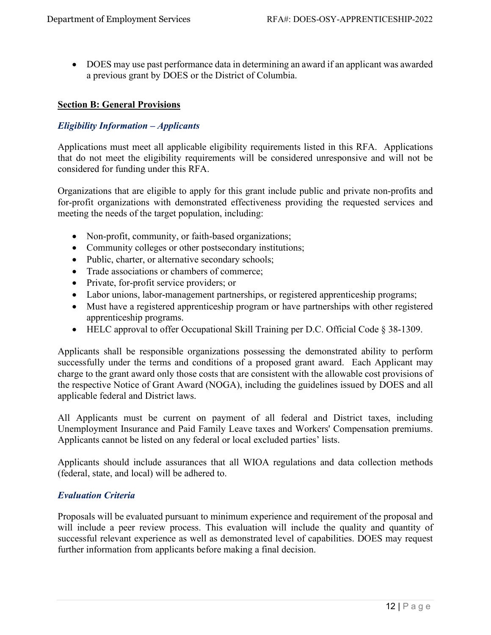• DOES may use past performance data in determining an award if an applicant was awarded a previous grant by DOES or the District of Columbia.

#### <span id="page-12-0"></span>**Section B: General Provisions**

# <span id="page-12-1"></span>*Eligibility Information – Applicants*

Applications must meet all applicable eligibility requirements listed in this RFA. Applications that do not meet the eligibility requirements will be considered unresponsive and will not be considered for funding under this RFA.

Organizations that are eligible to apply for this grant include public and private non-profits and for-profit organizations with demonstrated effectiveness providing the requested services and meeting the needs of the target population, including:

- Non-profit, community, or faith-based organizations;
- Community colleges or other postsecondary institutions;
- Public, charter, or alternative secondary schools;
- Trade associations or chambers of commerce:
- Private, for-profit service providers; or
- Labor unions, labor-management partnerships, or registered apprenticeship programs;
- Must have a registered apprenticeship program or have partnerships with other registered apprenticeship programs.
- HELC approval to offer Occupational Skill Training per D.C. Official Code § 38-1309.

Applicants shall be responsible organizations possessing the demonstrated ability to perform successfully under the terms and conditions of a proposed grant award. Each Applicant may charge to the grant award only those costs that are consistent with the allowable cost provisions of the respective Notice of Grant Award (NOGA), including the guidelines issued by DOES and all applicable federal and District laws.

All Applicants must be current on payment of all federal and District taxes, including Unemployment Insurance and Paid Family Leave taxes and Workers' Compensation premiums. Applicants cannot be listed on any federal or local excluded parties' lists.

Applicants should include assurances that all WIOA regulations and data collection methods (federal, state, and local) will be adhered to.

#### <span id="page-12-2"></span>*Evaluation Criteria*

Proposals will be evaluated pursuant to minimum experience and requirement of the proposal and will include a peer review process. This evaluation will include the quality and quantity of successful relevant experience as well as demonstrated level of capabilities. DOES may request further information from applicants before making a final decision.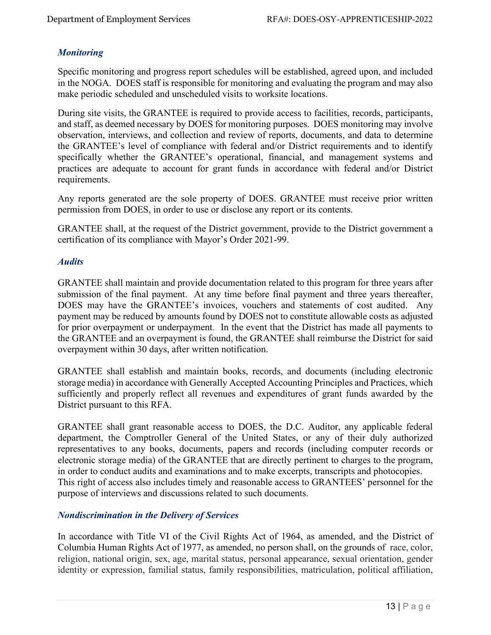# <span id="page-13-0"></span>*Monitoring*

Specific monitoring and progress report schedules will be established, agreed upon, and included in the NOGA. DOES staff is responsible for monitoring and evaluating the program and may also make periodic scheduled and unscheduled visits to worksite locations.

During site visits, the GRANTEE is required to provide access to facilities, records, participants, and staff, as deemed necessary by DOES for monitoring purposes. DOES monitoring may involve observation, interviews, and collection and review of reports, documents, and data to determine the GRANTEE's level of compliance with federal and/or District requirements and to identify specifically whether the GRANTEE's operational, financial, and management systems and practices are adequate to account for grant funds in accordance with federal and/or District requirements.

Any reports generated are the sole property of DOES. GRANTEE must receive prior written permission from DOES, in order to use or disclose any report or its contents.

GRANTEE shall, at the request of the District government, provide to the District government a certification of its compliance with Mayor's Order 2021-99.

#### <span id="page-13-1"></span>*Audits*

GRANTEE shall maintain and provide documentation related to this program for three years after submission of the final payment. At any time before final payment and three years thereafter, DOES may have the GRANTEE's invoices, vouchers and statements of cost audited. Any payment may be reduced by amounts found by DOES not to constitute allowable costs as adjusted for prior overpayment or underpayment. In the event that the District has made all payments to the GRANTEE and an overpayment is found, the GRANTEE shall reimburse the District for said overpayment within 30 days, after written notification.

GRANTEE shall establish and maintain books, records, and documents (including electronic storage media) in accordance with Generally Accepted Accounting Principles and Practices, which sufficiently and properly reflect all revenues and expenditures of grant funds awarded by the District pursuant to this RFA.

GRANTEE shall grant reasonable access to DOES, the D.C. Auditor, any applicable federal department, the Comptroller General of the United States, or any of their duly authorized representatives to any books, documents, papers and records (including computer records or electronic storage media) of the GRANTEE that are directly pertinent to charges to the program, in order to conduct audits and examinations and to make excerpts, transcripts and photocopies. This right of access also includes timely and reasonable access to GRANTEES' personnel for the purpose of interviews and discussions related to such documents.

# <span id="page-13-2"></span>*Nondiscrimination in the Delivery of Services*

In accordance with Title VI of the Civil Rights Act of 1964, as amended, and the District of Columbia Human Rights Act of 1977, as amended, no person shall, on the grounds of race, color, religion, national origin, sex, age, marital status, personal appearance, sexual orientation, gender identity or expression, familial status, family responsibilities, matriculation, political affiliation,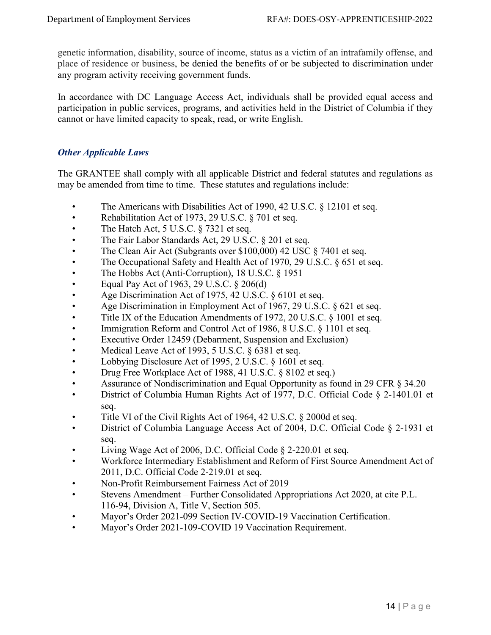genetic information, disability, source of income, status as a victim of an intrafamily offense, and place of residence or business, be denied the benefits of or be subjected to discrimination under any program activity receiving government funds.

In accordance with DC Language Access Act, individuals shall be provided equal access and participation in public services, programs, and activities held in the District of Columbia if they cannot or have limited capacity to speak, read, or write English.

# <span id="page-14-0"></span>*Other Applicable Laws*

The GRANTEE shall comply with all applicable District and federal statutes and regulations as may be amended from time to time. These statutes and regulations include:

- The Americans with Disabilities Act of 1990, 42 U.S.C. § 12101 et seq.
- Rehabilitation Act of 1973, 29 U.S.C. § 701 et seq.
- The Hatch Act,  $5$  U.S.C.  $\S$  7321 et seq.
- The Fair Labor Standards Act, 29 U.S.C. § 201 et seq.
- The Clean Air Act (Subgrants over \$100,000) 42 USC § 7401 et seq.
- The Occupational Safety and Health Act of 1970, 29 U.S.C. § 651 et seq.
- The Hobbs Act (Anti-Corruption), 18 U.S.C. § 1951
- Equal Pay Act of 1963, 29 U.S.C.  $\S 206(d)$
- Age Discrimination Act of 1975, 42 U.S.C. § 6101 et seq.
- Age Discrimination in Employment Act of 1967, 29 U.S.C. § 621 et seq.
- Title IX of the Education Amendments of 1972, 20 U.S.C. § 1001 et seq.
- Immigration Reform and Control Act of 1986, 8 U.S.C. § 1101 et seq.
- Executive Order 12459 (Debarment, Suspension and Exclusion)
- Medical Leave Act of 1993, 5 U.S.C. § 6381 et seq.
- Lobbying Disclosure Act of 1995, 2 U.S.C. § 1601 et seq.
- Drug Free Workplace Act of 1988, 41 U.S.C. § 8102 et seq.)
- Assurance of Nondiscrimination and Equal Opportunity as found in 29 CFR § 34.20
- District of Columbia Human Rights Act of 1977, D.C. Official Code § 2-1401.01 et seq.
- Title VI of the Civil Rights Act of 1964, 42 U.S.C. § 2000d et seq.
- District of Columbia Language Access Act of 2004, D.C. Official Code § 2-1931 et seq.
- Living Wage Act of 2006, D.C. Official Code  $\S$  2-220.01 et seq.
- Workforce Intermediary Establishment and Reform of First Source Amendment Act of 2011, D.C. Official Code 2-219.01 et seq.
- Non-Profit Reimbursement Fairness Act of 2019
- Stevens Amendment Further Consolidated Appropriations Act 2020, at cite P.L. 116-94, Division A, Title V, Section 505.
- Mayor's Order 2021-099 Section IV-COVID-19 Vaccination Certification.
- Mayor's Order 2021-109-COVID 19 Vaccination Requirement.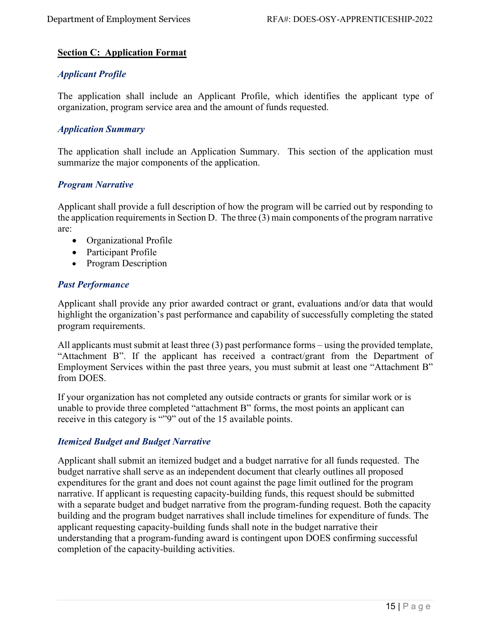# <span id="page-15-0"></span>**Section C: Application Format**

#### <span id="page-15-1"></span>*Applicant Profile*

The application shall include an Applicant Profile, which identifies the applicant type of organization, program service area and the amount of funds requested.

# <span id="page-15-2"></span>*Application Summary*

The application shall include an Application Summary. This section of the application must summarize the major components of the application.

#### <span id="page-15-3"></span>*Program Narrative*

Applicant shall provide a full description of how the program will be carried out by responding to the application requirements in Section D. The three (3) main components of the program narrative are:

- Organizational Profile
- Participant Profile
- Program Description

#### <span id="page-15-4"></span>*Past Performance*

Applicant shall provide any prior awarded contract or grant, evaluations and/or data that would highlight the organization's past performance and capability of successfully completing the stated program requirements.

All applicants must submit at least three (3) past performance forms – using the provided template, "Attachment B". If the applicant has received a contract/grant from the Department of Employment Services within the past three years, you must submit at least one "Attachment B" from DOES.

If your organization has not completed any outside contracts or grants for similar work or is unable to provide three completed "attachment B" forms, the most points an applicant can receive in this category is ""9" out of the 15 available points.

#### <span id="page-15-5"></span>*Itemized Budget and Budget Narrative*

Applicant shall submit an itemized budget and a budget narrative for all funds requested. The budget narrative shall serve as an independent document that clearly outlines all proposed expenditures for the grant and does not count against the page limit outlined for the program narrative. If applicant is requesting capacity-building funds, this request should be submitted with a separate budget and budget narrative from the program-funding request. Both the capacity building and the program budget narratives shall include timelines for expenditure of funds. The applicant requesting capacity-building funds shall note in the budget narrative their understanding that a program-funding award is contingent upon DOES confirming successful completion of the capacity-building activities.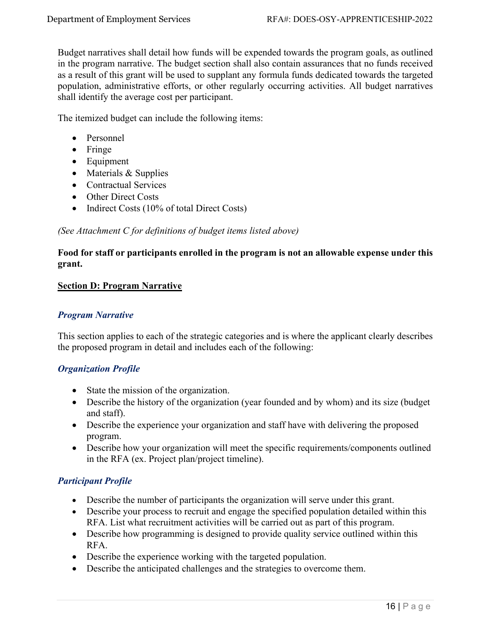Budget narratives shall detail how funds will be expended towards the program goals, as outlined in the program narrative. The budget section shall also contain assurances that no funds received as a result of this grant will be used to supplant any formula funds dedicated towards the targeted population, administrative efforts, or other regularly occurring activities. All budget narratives shall identify the average cost per participant.

The itemized budget can include the following items:

- Personnel
- Fringe
- Equipment
- Materials & Supplies
- Contractual Services
- Other Direct Costs
- Indirect Costs (10% of total Direct Costs)

# *(See Attachment C for definitions of budget items listed above)*

# **Food for staff or participants enrolled in the program is not an allowable expense under this grant.**

#### <span id="page-16-0"></span>**Section D: Program Narrative**

# <span id="page-16-1"></span>*Program Narrative*

This section applies to each of the strategic categories and is where the applicant clearly describes the proposed program in detail and includes each of the following:

# <span id="page-16-2"></span>*Organization Profile*

- State the mission of the organization.
- Describe the history of the organization (year founded and by whom) and its size (budget and staff).
- Describe the experience your organization and staff have with delivering the proposed program.
- Describe how your organization will meet the specific requirements/components outlined in the RFA (ex. Project plan/project timeline).

# <span id="page-16-3"></span>*Participant Profile*

- Describe the number of participants the organization will serve under this grant.
- Describe your process to recruit and engage the specified population detailed within this RFA. List what recruitment activities will be carried out as part of this program.
- Describe how programming is designed to provide quality service outlined within this RFA.
- Describe the experience working with the targeted population.
- Describe the anticipated challenges and the strategies to overcome them.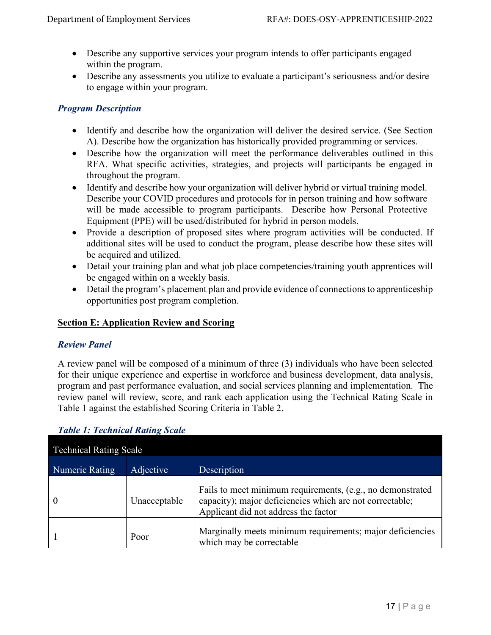- Describe any supportive services your program intends to offer participants engaged within the program.
- Describe any assessments you utilize to evaluate a participant's seriousness and/or desire to engage within your program.

# <span id="page-17-0"></span>*Program Description*

- Identify and describe how the organization will deliver the desired service. (See Section A). Describe how the organization has historically provided programming or services.
- Describe how the organization will meet the performance deliverables outlined in this RFA. What specific activities, strategies, and projects will participants be engaged in throughout the program.
- Identify and describe how your organization will deliver hybrid or virtual training model. Describe your COVID procedures and protocols for in person training and how software will be made accessible to program participants. Describe how Personal Protective Equipment (PPE) will be used/distributed for hybrid in person models.
- Provide a description of proposed sites where program activities will be conducted. If additional sites will be used to conduct the program, please describe how these sites will be acquired and utilized.
- Detail your training plan and what job place competencies/training youth apprentices will be engaged within on a weekly basis.
- Detail the program's placement plan and provide evidence of connections to apprenticeship opportunities post program completion.

# <span id="page-17-1"></span>**Section E: Application Review and Scoring**

# <span id="page-17-2"></span>*Review Panel*

A review panel will be composed of a minimum of three (3) individuals who have been selected for their unique experience and expertise in workforce and business development, data analysis, program and past performance evaluation, and social services planning and implementation. The review panel will review, score, and rank each application using the Technical Rating Scale in Table 1 against the established Scoring Criteria in Table 2.

| <b>Technical Rating Scale</b> |              |                                                                                                                                                                |  |
|-------------------------------|--------------|----------------------------------------------------------------------------------------------------------------------------------------------------------------|--|
| Numeric Rating                | Adjective    | Description                                                                                                                                                    |  |
|                               | Unacceptable | Fails to meet minimum requirements, (e.g., no demonstrated<br>capacity); major deficiencies which are not correctable;<br>Applicant did not address the factor |  |
|                               | Poor         | Marginally meets minimum requirements; major deficiencies<br>which may be correctable                                                                          |  |

# <span id="page-17-3"></span>*Table 1: Technical Rating Scale*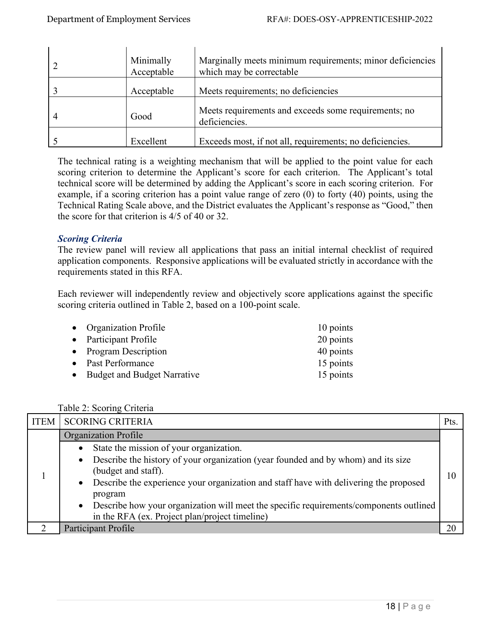| Minimally<br>Acceptable | Marginally meets minimum requirements; minor deficiencies<br>which may be correctable |
|-------------------------|---------------------------------------------------------------------------------------|
| Acceptable              | Meets requirements; no deficiencies                                                   |
| Good                    | Meets requirements and exceeds some requirements; no<br>deficiencies.                 |
| Excellent               | Exceeds most, if not all, requirements; no deficiencies.                              |

The technical rating is a weighting mechanism that will be applied to the point value for each scoring criterion to determine the Applicant's score for each criterion. The Applicant's total technical score will be determined by adding the Applicant's score in each scoring criterion. For example, if a scoring criterion has a point value range of zero (0) to forty (40) points, using the Technical Rating Scale above, and the District evaluates the Applicant's response as "Good," then the score for that criterion is 4/5 of 40 or 32.

# <span id="page-18-0"></span>*Scoring Criteria*

The review panel will review all applications that pass an initial internal checklist of required application components. Responsive applications will be evaluated strictly in accordance with the requirements stated in this RFA.

Each reviewer will independently review and objectively score applications against the specific scoring criteria outlined in Table 2, based on a 100-point scale.

| • Organization Profile        | 10 points |
|-------------------------------|-----------|
| • Participant Profile         | 20 points |
| • Program Description         | 40 points |
| • Past Performance            | 15 points |
| • Budget and Budget Narrative | 15 points |

|  |  |  | Table 2: Scoring Criteria |
|--|--|--|---------------------------|
|--|--|--|---------------------------|

| <b>ITEM</b> | <b>SCORING CRITERIA</b>                                                                  | Pts. |
|-------------|------------------------------------------------------------------------------------------|------|
|             | Organization Profile                                                                     |      |
|             | • State the mission of your organization.                                                |      |
|             | • Describe the history of your organization (year founded and by whom) and its size      |      |
|             | (budget and staff).                                                                      | 10   |
|             | • Describe the experience your organization and staff have with delivering the proposed  |      |
|             | program                                                                                  |      |
|             | • Describe how your organization will meet the specific requirements/components outlined |      |
|             | in the RFA (ex. Project plan/project timeline)                                           |      |
|             | Participant Profile                                                                      | 21   |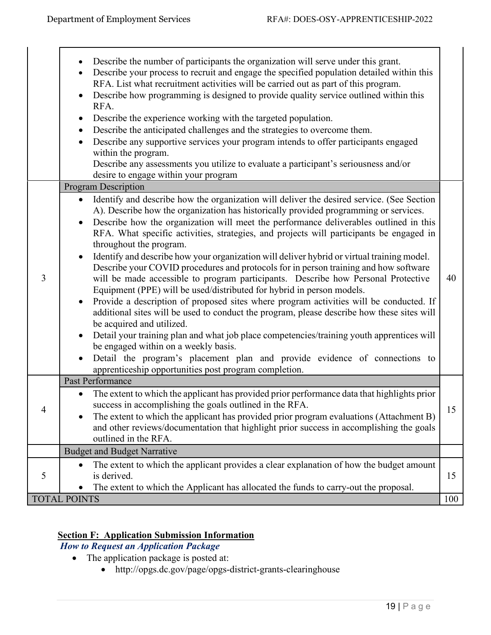$\mathbf{I}$ 

|   | Describe the number of participants the organization will serve under this grant.<br>$\bullet$<br>Describe your process to recruit and engage the specified population detailed within this<br>$\bullet$<br>RFA. List what recruitment activities will be carried out as part of this program.<br>Describe how programming is designed to provide quality service outlined within this<br>$\bullet$<br>RFA.<br>Describe the experience working with the targeted population.<br>Describe the anticipated challenges and the strategies to overcome them.<br>$\bullet$<br>Describe any supportive services your program intends to offer participants engaged<br>within the program.<br>Describe any assessments you utilize to evaluate a participant's seriousness and/or<br>desire to engage within your program                                                                                                                                                                                                                                                                                                                                                                                                                                                                           |     |
|---|----------------------------------------------------------------------------------------------------------------------------------------------------------------------------------------------------------------------------------------------------------------------------------------------------------------------------------------------------------------------------------------------------------------------------------------------------------------------------------------------------------------------------------------------------------------------------------------------------------------------------------------------------------------------------------------------------------------------------------------------------------------------------------------------------------------------------------------------------------------------------------------------------------------------------------------------------------------------------------------------------------------------------------------------------------------------------------------------------------------------------------------------------------------------------------------------------------------------------------------------------------------------------------------------|-----|
|   | <b>Program Description</b>                                                                                                                                                                                                                                                                                                                                                                                                                                                                                                                                                                                                                                                                                                                                                                                                                                                                                                                                                                                                                                                                                                                                                                                                                                                                   |     |
| 3 | Identify and describe how the organization will deliver the desired service. (See Section<br>A). Describe how the organization has historically provided programming or services.<br>Describe how the organization will meet the performance deliverables outlined in this<br>$\bullet$<br>RFA. What specific activities, strategies, and projects will participants be engaged in<br>throughout the program.<br>Identify and describe how your organization will deliver hybrid or virtual training model.<br>$\bullet$<br>Describe your COVID procedures and protocols for in person training and how software<br>will be made accessible to program participants. Describe how Personal Protective<br>Equipment (PPE) will be used/distributed for hybrid in person models.<br>Provide a description of proposed sites where program activities will be conducted. If<br>additional sites will be used to conduct the program, please describe how these sites will<br>be acquired and utilized.<br>Detail your training plan and what job place competencies/training youth apprentices will<br>$\bullet$<br>be engaged within on a weekly basis.<br>Detail the program's placement plan and provide evidence of connections to<br>apprenticeship opportunities post program completion. | 40  |
|   | Past Performance                                                                                                                                                                                                                                                                                                                                                                                                                                                                                                                                                                                                                                                                                                                                                                                                                                                                                                                                                                                                                                                                                                                                                                                                                                                                             |     |
|   | The extent to which the applicant has provided prior performance data that highlights prior<br>$\bullet$<br>success in accomplishing the goals outlined in the RFA.<br>The extent to which the applicant has provided prior program evaluations (Attachment B)<br>and other reviews/documentation that highlight prior success in accomplishing the goals<br>outlined in the RFA.                                                                                                                                                                                                                                                                                                                                                                                                                                                                                                                                                                                                                                                                                                                                                                                                                                                                                                            | 15  |
|   | <b>Budget and Budget Narrative</b>                                                                                                                                                                                                                                                                                                                                                                                                                                                                                                                                                                                                                                                                                                                                                                                                                                                                                                                                                                                                                                                                                                                                                                                                                                                           |     |
| 5 | The extent to which the applicant provides a clear explanation of how the budget amount<br>is derived.<br>The extent to which the Applicant has allocated the funds to carry-out the proposal.                                                                                                                                                                                                                                                                                                                                                                                                                                                                                                                                                                                                                                                                                                                                                                                                                                                                                                                                                                                                                                                                                               | 15  |
|   | <b>TOTAL POINTS</b>                                                                                                                                                                                                                                                                                                                                                                                                                                                                                                                                                                                                                                                                                                                                                                                                                                                                                                                                                                                                                                                                                                                                                                                                                                                                          | 100 |
|   |                                                                                                                                                                                                                                                                                                                                                                                                                                                                                                                                                                                                                                                                                                                                                                                                                                                                                                                                                                                                                                                                                                                                                                                                                                                                                              |     |

# <span id="page-19-0"></span>**Section F: Application Submission Information**

<span id="page-19-1"></span> *How to Request an Application Package* 

- The application package is posted at:
	- http://opgs.dc.gov/page/opgs-district-grants-clearinghouse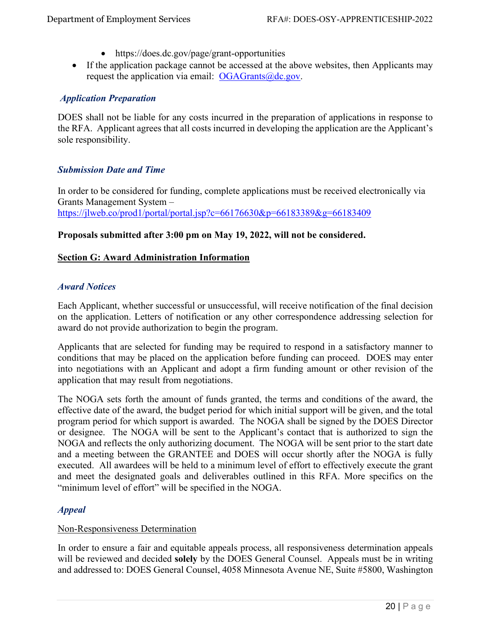- https://does.dc.gov/page/grant-opportunities
- If the application package cannot be accessed at the above websites, then Applicants may request the application via email:  $OGAGrants@dc.gov$ .

# <span id="page-20-0"></span> *Application Preparation*

DOES shall not be liable for any costs incurred in the preparation of applications in response to the RFA. Applicant agrees that all costs incurred in developing the application are the Applicant's sole responsibility.

#### <span id="page-20-1"></span>*Submission Date and Time*

In order to be considered for funding, complete applications must be received electronically via Grants Management System – <https://jlweb.co/prod1/portal/portal.jsp?c=66176630&p=66183389&g=66183409>

#### **Proposals submitted after 3:00 pm on May 19, 2022, will not be considered.**

#### <span id="page-20-2"></span>**Section G: Award Administration Information**

#### <span id="page-20-3"></span>*Award Notices*

Each Applicant, whether successful or unsuccessful, will receive notification of the final decision on the application. Letters of notification or any other correspondence addressing selection for award do not provide authorization to begin the program.

Applicants that are selected for funding may be required to respond in a satisfactory manner to conditions that may be placed on the application before funding can proceed. DOES may enter into negotiations with an Applicant and adopt a firm funding amount or other revision of the application that may result from negotiations.

The NOGA sets forth the amount of funds granted, the terms and conditions of the award, the effective date of the award, the budget period for which initial support will be given, and the total program period for which support is awarded. The NOGA shall be signed by the DOES Director or designee. The NOGA will be sent to the Applicant's contact that is authorized to sign the NOGA and reflects the only authorizing document. The NOGA will be sent prior to the start date and a meeting between the GRANTEE and DOES will occur shortly after the NOGA is fully executed. All awardees will be held to a minimum level of effort to effectively execute the grant and meet the designated goals and deliverables outlined in this RFA. More specifics on the "minimum level of effort" will be specified in the NOGA.

#### <span id="page-20-4"></span>*Appeal*

#### Non-Responsiveness Determination

In order to ensure a fair and equitable appeals process, all responsiveness determination appeals will be reviewed and decided **solely** by the DOES General Counsel. Appeals must be in writing and addressed to: DOES General Counsel, 4058 Minnesota Avenue NE, Suite #5800, Washington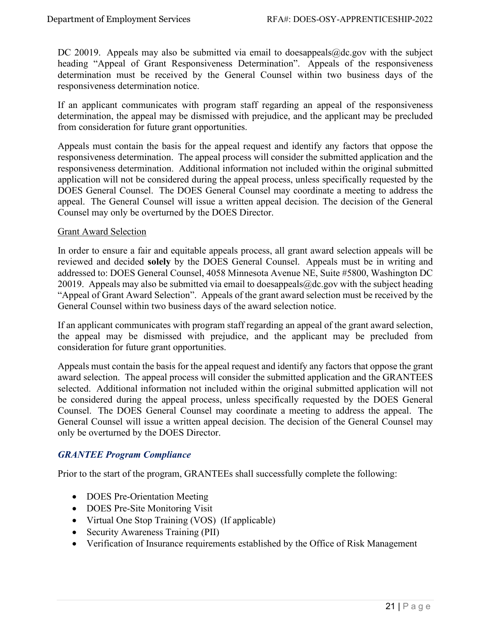DC 20019. Appeals may also be submitted via email to doesappeals@dc.gov with the subject heading "Appeal of Grant Responsiveness Determination". Appeals of the responsiveness determination must be received by the General Counsel within two business days of the responsiveness determination notice.

If an applicant communicates with program staff regarding an appeal of the responsiveness determination, the appeal may be dismissed with prejudice, and the applicant may be precluded from consideration for future grant opportunities.

Appeals must contain the basis for the appeal request and identify any factors that oppose the responsiveness determination. The appeal process will consider the submitted application and the responsiveness determination. Additional information not included within the original submitted application will not be considered during the appeal process, unless specifically requested by the DOES General Counsel. The DOES General Counsel may coordinate a meeting to address the appeal. The General Counsel will issue a written appeal decision. The decision of the General Counsel may only be overturned by the DOES Director.

#### Grant Award Selection

In order to ensure a fair and equitable appeals process, all grant award selection appeals will be reviewed and decided **solely** by the DOES General Counsel. Appeals must be in writing and addressed to: DOES General Counsel, 4058 Minnesota Avenue NE, Suite #5800, Washington DC 20019. Appeals may also be submitted via email to doesappeals  $@dc.gov$  with the subject heading "Appeal of Grant Award Selection". Appeals of the grant award selection must be received by the General Counsel within two business days of the award selection notice.

If an applicant communicates with program staff regarding an appeal of the grant award selection, the appeal may be dismissed with prejudice, and the applicant may be precluded from consideration for future grant opportunities.

Appeals must contain the basis for the appeal request and identify any factors that oppose the grant award selection. The appeal process will consider the submitted application and the GRANTEES selected. Additional information not included within the original submitted application will not be considered during the appeal process, unless specifically requested by the DOES General Counsel. The DOES General Counsel may coordinate a meeting to address the appeal. The General Counsel will issue a written appeal decision. The decision of the General Counsel may only be overturned by the DOES Director.

#### <span id="page-21-0"></span>*GRANTEE Program Compliance*

Prior to the start of the program, GRANTEEs shall successfully complete the following:

- DOES Pre-Orientation Meeting
- DOES Pre-Site Monitoring Visit
- Virtual One Stop Training (VOS) (If applicable)
- Security Awareness Training (PII)
- Verification of Insurance requirements established by the Office of Risk Management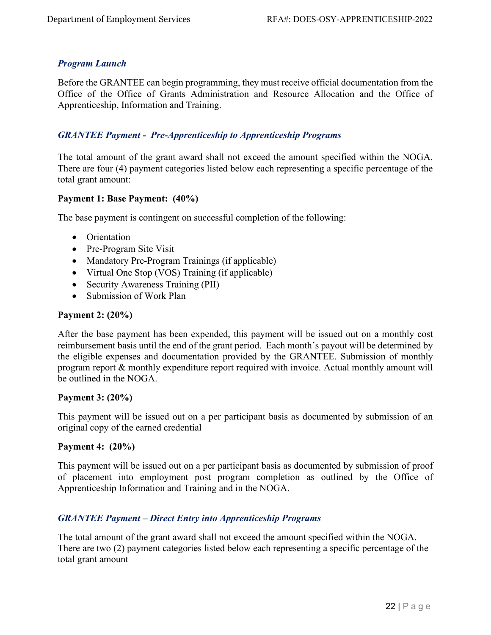# <span id="page-22-0"></span>*Program Launch*

Before the GRANTEE can begin programming, they must receive official documentation from the Office of the Office of Grants Administration and Resource Allocation and the Office of Apprenticeship, Information and Training.

# <span id="page-22-1"></span>*GRANTEE Payment - Pre-Apprenticeship to Apprenticeship Programs*

The total amount of the grant award shall not exceed the amount specified within the NOGA. There are four (4) payment categories listed below each representing a specific percentage of the total grant amount:

#### **Payment 1: Base Payment: (40%)**

The base payment is contingent on successful completion of the following:

- Orientation
- Pre-Program Site Visit
- Mandatory Pre-Program Trainings (if applicable)
- Virtual One Stop (VOS) Training (if applicable)
- Security Awareness Training (PII)
- Submission of Work Plan

#### **Payment 2: (20%)**

After the base payment has been expended, this payment will be issued out on a monthly cost reimbursement basis until the end of the grant period. Each month's payout will be determined by the eligible expenses and documentation provided by the GRANTEE. Submission of monthly program report & monthly expenditure report required with invoice. Actual monthly amount will be outlined in the NOGA.

#### **Payment 3: (20%)**

This payment will be issued out on a per participant basis as documented by submission of an original copy of the earned credential

#### **Payment 4: (20%)**

This payment will be issued out on a per participant basis as documented by submission of proof of placement into employment post program completion as outlined by the Office of Apprenticeship Information and Training and in the NOGA.

#### *GRANTEE Payment – Direct Entry into Apprenticeship Programs*

The total amount of the grant award shall not exceed the amount specified within the NOGA. There are two (2) payment categories listed below each representing a specific percentage of the total grant amount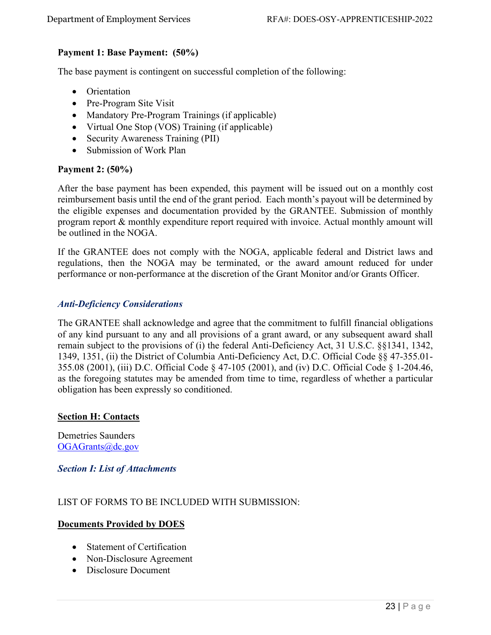# **Payment 1: Base Payment: (50%)**

The base payment is contingent on successful completion of the following:

- Orientation
- Pre-Program Site Visit
- Mandatory Pre-Program Trainings (if applicable)
- Virtual One Stop (VOS) Training (if applicable)
- Security Awareness Training (PII)
- Submission of Work Plan

# **Payment 2: (50%)**

After the base payment has been expended, this payment will be issued out on a monthly cost reimbursement basis until the end of the grant period. Each month's payout will be determined by the eligible expenses and documentation provided by the GRANTEE. Submission of monthly program report & monthly expenditure report required with invoice. Actual monthly amount will be outlined in the NOGA.

If the GRANTEE does not comply with the NOGA, applicable federal and District laws and regulations, then the NOGA may be terminated, or the award amount reduced for under performance or non-performance at the discretion of the Grant Monitor and/or Grants Officer.

# <span id="page-23-0"></span>*Anti-Deficiency Considerations*

The GRANTEE shall acknowledge and agree that the commitment to fulfill financial obligations of any kind pursuant to any and all provisions of a grant award, or any subsequent award shall remain subject to the provisions of (i) the federal Anti-Deficiency Act, 31 U.S.C. §§1341, 1342, 1349, 1351, (ii) the District of Columbia Anti-Deficiency Act, D.C. Official Code §§ 47-355.01- 355.08 (2001), (iii) D.C. Official Code § 47-105 (2001), and (iv) D.C. Official Code § 1-204.46, as the foregoing statutes may be amended from time to time, regardless of whether a particular obligation has been expressly so conditioned.

#### <span id="page-23-1"></span>**Section H: Contacts**

Demetries Saunders OGAGrants@dc.gov

<span id="page-23-2"></span>*Section I: List of Attachments*

#### LIST OF FORMS TO BE INCLUDED WITH SUBMISSION:

#### **Documents Provided by DOES**

- Statement of Certification
- Non-Disclosure Agreement
- Disclosure Document